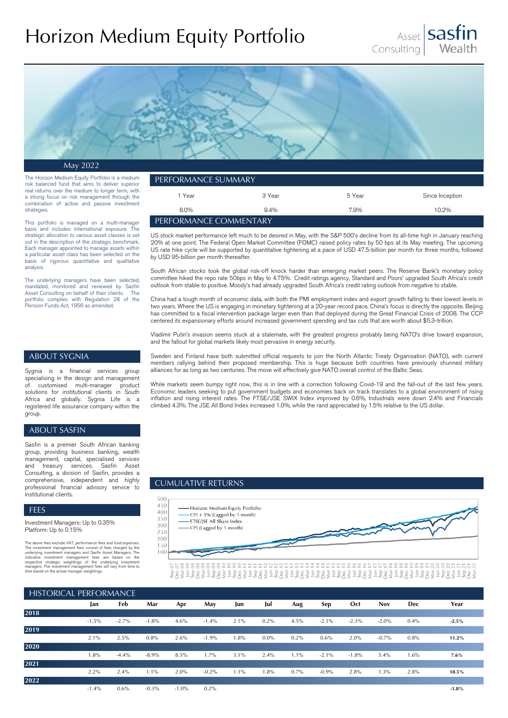# Horizon Medium Equity Portfolio





May 2022

The Horizon Medium Equity Portfolio is a medium risk balanced fund that aims to deliver superior real returns over the medium to longer term, with a strong focus on risk management through the combination of active and passive investment strategies.

This portfolio is managed on a multi-manager basis and includes international exposure. The strategic allocation to various asset classes is set out in the description of the strategic benchmark. Each manager appointed to manage assets within a particular asset class has been selected on the basis of rigorous quantitative and qualitative analysis.

The underlying managers have been selected, mandated, monitored and reviewed by Sasfin Asset Consulting on behalf of their clients. The portfolio complies with Regulation 28 of the Pension Funds Act, 1956 as amended.

| ' performance summary .   |         |        |                 |  |  |  |
|---------------------------|---------|--------|-----------------|--|--|--|
| 1 Year                    | 3 Year  | 5 Year | Since Inception |  |  |  |
| $8.0\%$                   | $9.4\%$ | 7.9%   | 10.2%           |  |  |  |
| ' PERFORMANCE COMMENTARY. |         |        |                 |  |  |  |

US stock market performance left much to be desired in May, with the S&P 500's decline from its all-time high in January reaching 20% at one point. The Federal Open Market Committee (FOMC) raised policy rates by 50 bps at its May meeting. The upcoming US rate hike cycle will be supported by quantitative tightening at a pace of USD 47.5-billion per month for three months, followed by USD 95-billion per month thereafter.

South African stocks took the global risk-off knock harder than emerging market peers. The Reserve Bank's monetary policy committee hiked the repo rate 50bps in May to 4.75%. Credit ratings agency, Standard and Poors' upgraded South Africa's credit outlook from stable to positive. Moody's had already upgraded South Africa's credit rating outlook from negative to stable.

China had a tough month of economic data, with both the PMI employment index and export growth falling to their lowest levels in two years. Where the US is engaging in monetary tightening at a 20-year record pace, China's focus is directly the opposite. Beijing has committed to a fiscal intervention package larger even than that deployed during the Great Financial Crisis of 2008. The CCP centered its expansionary efforts around increased government spending and tax cuts that are worth about \$5.3-trillion.

Vladimir Putin's invasion seems stuck at a stalemate, with the greatest progress probably being NATO's drive toward expansion, and the fallout for global markets likely most pervasive in energy security.

# ABOUT SYGNIA

Sygnia is a financial services group specialising in the design and management<br>of customised multi-manager product customised multi-manager product solutions for institutional clients in South Africa and globally. Sygnia Life is a registered life assurance company within the group.

## ABOUT SASFIN

Sasfin is a premier South African banking group, providing business banking, wealth management, capital, specialised services treasury services. Sasfin Asset Consulting, a division of Sasfin, provides a comprehensive, independent and highly professional financial advisory service to institutional clients.

#### FEES

Investment Managers: Up to 0.35% Platform: Up to 0.15%

The above fees exclude VAT, performance fees and fund expenses.<br>The investment management fees consist of fees charged by the<br>underlying investment management fees consist of fees are based on the<br>underlying investment man

Sweden and Finland have both submitted official requests to join the North Atlantic Treaty Organisation (NATO), with current members rallying behind their proposed membership. This is huge because both countries have previously shunned military alliances for as long as two centuries. The move will effectively give NATO overall control of the Baltic Seas.

While markets seem bumpy right now, this is in line with a correction following Covid-19 and the fall-out of the last few years. Economic leaders seeking to put government budgets and economies back on track translates to a global environment of rising inflation and rising interest rates. The FTSE/JSE SWIX Index improved by 0.6%, Industrials were down 2.4% and Financials climbed 4.3%. The JSE All Bond Index increased 1.0%, while the rand appreciated by 1.5% relative to the US dollar.

# CUMULATIVE RETURNS



| HISTORICAL PERFORMANCE |         |         |          |          |          |         |         |         |          |          |            |            |         |
|------------------------|---------|---------|----------|----------|----------|---------|---------|---------|----------|----------|------------|------------|---------|
|                        | Jan     | Feb     | Mar      | Apr      | May      | Jun     | Jul     | Aug     | Sep      | Oct      | <b>Nov</b> | <b>Dec</b> | Year    |
| 2018                   |         |         |          |          |          |         |         |         |          |          |            |            |         |
|                        | $-1.5%$ | $-2.7%$ | $-1.8%$  | 4.6%     | $-1.4\%$ | 2.1%    | 0.2%    | 4.5%    | $-2.1\%$ | $-2.3\%$ | $-2.0%$    | 0.4%       | $-2.5%$ |
| 2019                   |         |         |          |          |          |         |         |         |          |          |            |            |         |
|                        | 2.1%    | 2.5%    | 0.8%     | 2.6%     | $-1.9%$  | 1.8%    | $0.0\%$ | 0.2%    | 0.6%     | $2.0\%$  | $-0.7%$    | 0.8%       | 11.2%   |
| 2020                   |         |         |          |          |          |         |         |         |          |          |            |            |         |
|                        | 1.8%    | $-4.4%$ | $-8.9\%$ | 8.5%     | 1.7%     | 3.1%    | 2.4%    | $1.1\%$ | $-2.1\%$ | $-1.8%$  | 5.4%       | 1.6%       | $7.6\%$ |
| 2021                   |         |         |          |          |          |         |         |         |          |          |            |            |         |
|                        | 2.2%    | 2.4%    | $1.1\%$  | $2.0\%$  | $-0.2\%$ | $1.1\%$ | 1.8%    | 0.7%    | $-0.9\%$ | 2.8%     | 1.3%       | 2.8%       | 18.5%   |
| 2022                   |         |         |          |          |          |         |         |         |          |          |            |            |         |
|                        | $-1.4%$ | $0.6\%$ | $-0.3\%$ | $-1.0\%$ | 0.2%     |         |         |         |          |          |            |            | $-1.8%$ |
|                        |         |         |          |          |          |         |         |         |          |          |            |            |         |